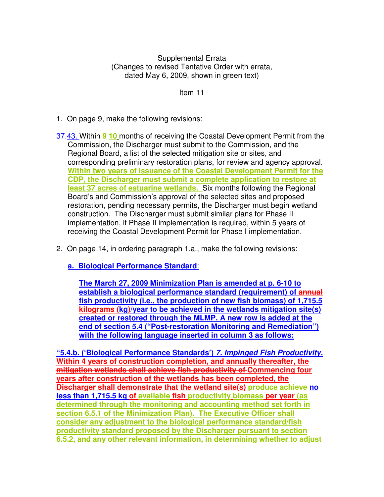Supplemental Errata (Changes to revised Tentative Order with errata, dated May 6, 2009, shown in green text)

Item 11

- 1. On page 9, make the following revisions:
- 37.43. Within **9 10** months of receiving the Coastal Development Permit from the Commission, the Discharger must submit to the Commission, and the Regional Board, a list of the selected mitigation site or sites, and corresponding preliminary restoration plans, for review and agency approval. **Within two years of issuance of the Coastal Development Permit for the CDP, the Discharger must submit a complete application to restore at least 37 acres of estuarine wetlands.** Six months following the Regional Board's and Commission's approval of the selected sites and proposed restoration, pending necessary permits, the Discharger must begin wetland construction. The Discharger must submit similar plans for Phase II implementation, if Phase II implementation is required, within 5 years of receiving the Coastal Development Permit for Phase I implementation.
- 2. On page 14, in ordering paragraph 1.a., make the following revisions:

**a. Biological Performance Standard**:

**The March 27, 2009 Minimization Plan is amended at p. 6-10 to establish a biological performance standard (requirement) of annual fish productivity (i.e., the production of new fish biomass) of 1,715.5 kilograms (kg)/year to be achieved in the wetlands mitigation site(s) created or restored through the MLMP. A new row is added at the end of section 5.4 ("Post-restoration Monitoring and Remediation") with the following language inserted in column 3 as follows:** 

**"5.4.b. ('Biological Performance Standards') 7. Impinged Fish Productivity. Within 4 years of construction completion, and annually thereafter, the mitigation wetlands shall achieve fish productivity of Commencing four years after construction of the wetlands has been completed, the Discharger shall demonstrate that the wetland site(s) produce achieve no less than 1,715.5 kg of available fish productivity biomass per year (as determined through the monitoring and accounting method set forth in section 6.5.1 of the Minimization Plan). The Executive Officer shall consider any adjustment to the biological performance standard/fish productivity standard proposed by the Discharger pursuant to section 6.5.2, and any other relevant information, in determining whether to adjust**